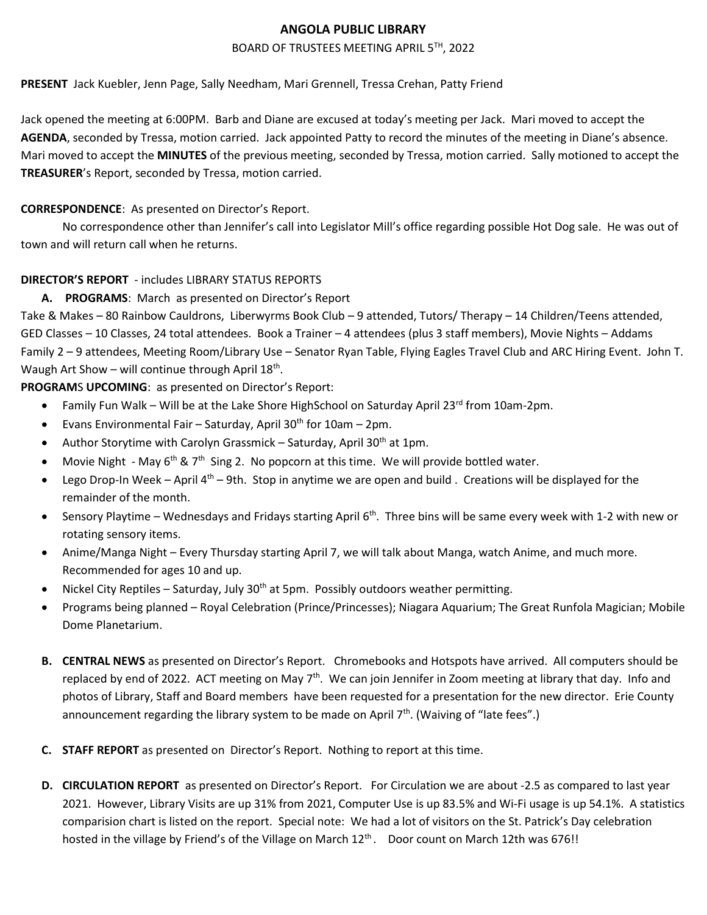### **ANGOLA PUBLIC LIBRARY**

### BOARD OF TRUSTEES MEETING APRIL 5TH, 2022

### **PRESENT** Jack Kuebler, Jenn Page, Sally Needham, Mari Grennell, Tressa Crehan, Patty Friend

Jack opened the meeting at 6:00PM. Barb and Diane are excused at today's meeting per Jack. Mari moved to accept the **AGENDA**, seconded by Tressa, motion carried. Jack appointed Patty to record the minutes of the meeting in Diane's absence. Mari moved to accept the **MINUTES** of the previous meeting, seconded by Tressa, motion carried. Sally motioned to accept the **TREASURER**'s Report, seconded by Tressa, motion carried.

## **CORRESPONDENCE**: As presented on Director's Report.

No correspondence other than Jennifer's call into Legislator Mill's office regarding possible Hot Dog sale. He was out of town and will return call when he returns.

# **DIRECTOR'S REPORT** - includes LIBRARY STATUS REPORTS

# **A. PROGRAMS**: March as presented on Director's Report

Take & Makes – 80 Rainbow Cauldrons, Liberwyrms Book Club – 9 attended, Tutors/ Therapy – 14 Children/Teens attended, GED Classes – 10 Classes, 24 total attendees. Book a Trainer – 4 attendees (plus 3 staff members), Movie Nights – Addams Family 2 – 9 attendees, Meeting Room/Library Use – Senator Ryan Table, Flying Eagles Travel Club and ARC Hiring Event. John T. Waugh Art Show - will continue through April 18<sup>th</sup>.

**PROGRAM**S **UPCOMING**: as presented on Director's Report:

- Family Fun Walk Will be at the Lake Shore HighSchool on Saturday April  $23^{\text{rd}}$  from 10am-2pm.
- Evans Environmental Fair Saturday, April 30<sup>th</sup> for 10am 2pm.
- Author Storytime with Carolyn Grassmick Saturday, April 30<sup>th</sup> at 1pm.
- Movie Night May  $6<sup>th</sup>$  & 7<sup>th</sup> Sing 2. No popcorn at this time. We will provide bottled water.
- **•** Lego Drop-In Week April  $4<sup>th</sup>$  9th. Stop in anytime we are open and build . Creations will be displayed for the remainder of the month.
- Sensory Playtime Wednesdays and Fridays starting April 6<sup>th</sup>. Three bins will be same every week with 1-2 with new or rotating sensory items.
- Anime/Manga Night Every Thursday starting April 7, we will talk about Manga, watch Anime, and much more. Recommended for ages 10 and up.
- Nickel City Reptiles Saturday, July 30<sup>th</sup> at 5pm. Possibly outdoors weather permitting.
- Programs being planned Royal Celebration (Prince/Princesses); Niagara Aquarium; The Great Runfola Magician; Mobile Dome Planetarium.
- **B. CENTRAL NEWS** as presented on Director's Report. Chromebooks and Hotspots have arrived. All computers should be replaced by end of 2022. ACT meeting on May 7<sup>th</sup>. We can join Jennifer in Zoom meeting at library that day. Info and photos of Library, Staff and Board members have been requested for a presentation for the new director. Erie County announcement regarding the library system to be made on April  $7<sup>th</sup>$ . (Waiving of "late fees".)
- **C. STAFF REPORT** as presented on Director's Report. Nothing to report at this time.
- **D. CIRCULATION REPORT** as presented on Director's Report. For Circulation we are about -2.5 as compared to last year 2021. However, Library Visits are up 31% from 2021, Computer Use is up 83.5% and Wi-Fi usage is up 54.1%. A statistics comparision chart is listed on the report. Special note: We had a lot of visitors on the St. Patrick's Day celebration hosted in the village by Friend's of the Village on March 12<sup>th</sup>. Door count on March 12th was 676!!